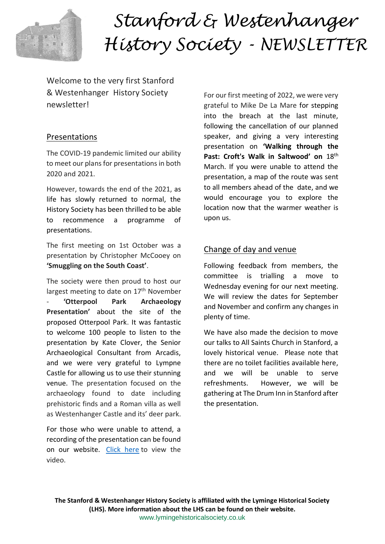

# *Stanford & Westenhanger History Society - NEWSLETTER*

Welcome to the very first Stanford & Westenhanger History Society newsletter!

## Presentations

The COVID-19 pandemic limited our ability to meet our plans for presentations in both 2020 and 2021.

However, towards the end of the 2021, as life has slowly returned to normal, the History Society has been thrilled to be able to recommence a programme of presentations.

The first meeting on 1st October was a presentation by Christopher McCooey on **'Smuggling on the South Coast'**.

The society were then proud to host our largest meeting to date on 17<sup>th</sup> November - **'Otterpool Park Archaeology Presentation'** about the site of the proposed Otterpool Park. It was fantastic to welcome 100 people to listen to the presentation by Kate Clover, the Senior Archaeological Consultant from Arcadis, and we were very grateful to Lympne Castle for allowing us to use their stunning venue. The presentation focused on the archaeology found to date including prehistoric finds and a Roman villa as well as Westenhanger Castle and its' deer park.

For those who were unable to attend, a recording of the presentation can be found on our website. [Click here](https://vimeo.com/647275367/431877f3be) to view the video.

For our first meeting of 2022, we were very grateful to Mike De La Mare for stepping into the breach at the last minute, following the cancellation of our planned speaker, and giving a very interesting presentation on **'Walking through the Past: Croft's Walk in Saltwood' on** 18th March. If you were unable to attend the presentation, a map of the route was sent to all members ahead of the date, and we would encourage you to explore the location now that the warmer weather is upon us.

## Change of day and venue

Following feedback from members, the committee is trialling a move to Wednesday evening for our next meeting. We will review the dates for September and November and confirm any changes in plenty of time.

We have also made the decision to move our talks to All Saints Church in Stanford, a lovely historical venue. Please note that there are no toilet facilities available here, and we will be unable to serve refreshments. However, we will be gathering at The Drum Inn in Stanford after the presentation.